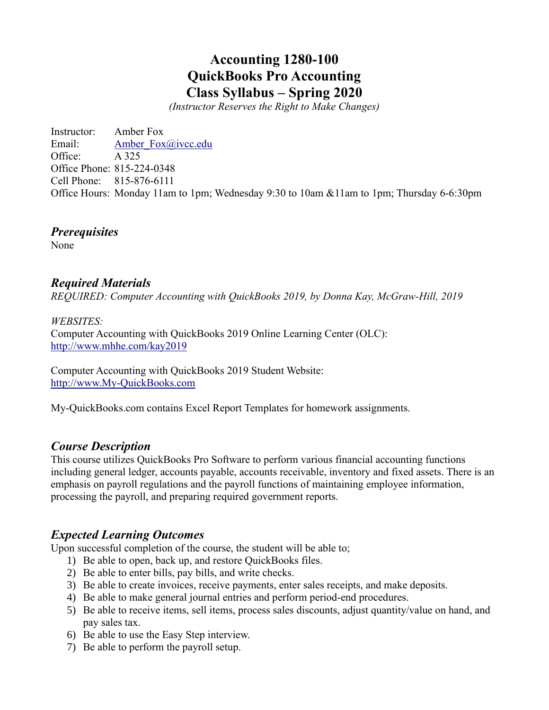# **Accounting 1280-100 QuickBooks Pro Accounting Class Syllabus – Spring 2020**

*(Instructor Reserves the Right to Make Changes)*

Instructor: Amber Fox Email: Amber Fox@ivcc.edu Office: A 325 Office Phone: 815-224-0348 Cell Phone: 815-876-6111 Office Hours: Monday 11am to 1pm; Wednesday 9:30 to 10am &11am to 1pm; Thursday 6-6:30pm

# *Prerequisites*

None

# *Required Materials*

*REQUIRED: Computer Accounting with QuickBooks 2019, by Donna Kay, McGraw-Hill, 2019*

### *WEBSITES:*

Computer Accounting with QuickBooks 2019 Online Learning Center (OLC): <http://www.mhhe.com/kay2019>

Computer Accounting with QuickBooks 2019 Student Website: [http://www.My-QuickBooks.com](http://www.my-quickbooks.com/)

My-QuickBooks.com contains Excel Report Templates for homework assignments.

### *Course Description*

This course utilizes QuickBooks Pro Software to perform various financial accounting functions including general ledger, accounts payable, accounts receivable, inventory and fixed assets. There is an emphasis on payroll regulations and the payroll functions of maintaining employee information, processing the payroll, and preparing required government reports.

### *Expected Learning Outcomes*

Upon successful completion of the course, the student will be able to;

- 1) Be able to open, back up, and restore QuickBooks files.
- 2) Be able to enter bills, pay bills, and write checks.
- 3) Be able to create invoices, receive payments, enter sales receipts, and make deposits.
- 4) Be able to make general journal entries and perform period-end procedures.
- 5) Be able to receive items, sell items, process sales discounts, adjust quantity/value on hand, and pay sales tax.
- 6) Be able to use the Easy Step interview.
- 7) Be able to perform the payroll setup.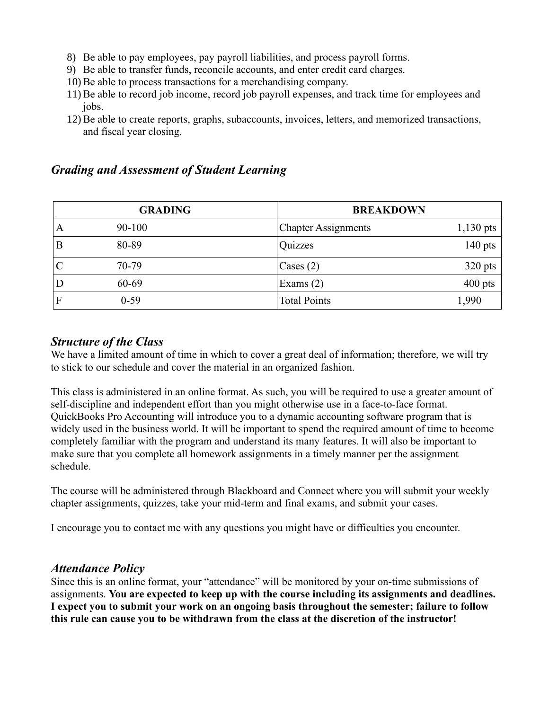- 8) Be able to pay employees, pay payroll liabilities, and process payroll forms.
- 9) Be able to transfer funds, reconcile accounts, and enter credit card charges.
- 10) Be able to process transactions for a merchandising company.
- 11) Be able to record job income, record job payroll expenses, and track time for employees and jobs.
- 12) Be able to create reports, graphs, subaccounts, invoices, letters, and memorized transactions, and fiscal year closing.

# *Grading and Assessment of Student Learning*

| <b>GRADING</b> |           |                            | <b>BREAKDOWN</b> |  |
|----------------|-----------|----------------------------|------------------|--|
| A              | 90-100    | <b>Chapter Assignments</b> | $1,130$ pts      |  |
| B              | 80-89     | Quizzes                    | $140$ pts        |  |
|                | $70 - 79$ | Cases $(2)$                | $320$ pts        |  |
|                | 60-69     | Exams $(2)$                | $400$ pts        |  |
| F              | $0 - 59$  | <b>Total Points</b>        | 1,990            |  |

### *Structure of the Class*

We have a limited amount of time in which to cover a great deal of information; therefore, we will try to stick to our schedule and cover the material in an organized fashion.

This class is administered in an online format. As such, you will be required to use a greater amount of self-discipline and independent effort than you might otherwise use in a face-to-face format. QuickBooks Pro Accounting will introduce you to a dynamic accounting software program that is widely used in the business world. It will be important to spend the required amount of time to become completely familiar with the program and understand its many features. It will also be important to make sure that you complete all homework assignments in a timely manner per the assignment schedule.

The course will be administered through Blackboard and Connect where you will submit your weekly chapter assignments, quizzes, take your mid-term and final exams, and submit your cases.

I encourage you to contact me with any questions you might have or difficulties you encounter.

### *Attendance Policy*

Since this is an online format, your "attendance" will be monitored by your on-time submissions of assignments. **You are expected to keep up with the course including its assignments and deadlines. I expect you to submit your work on an ongoing basis throughout the semester; failure to follow this rule can cause you to be withdrawn from the class at the discretion of the instructor!**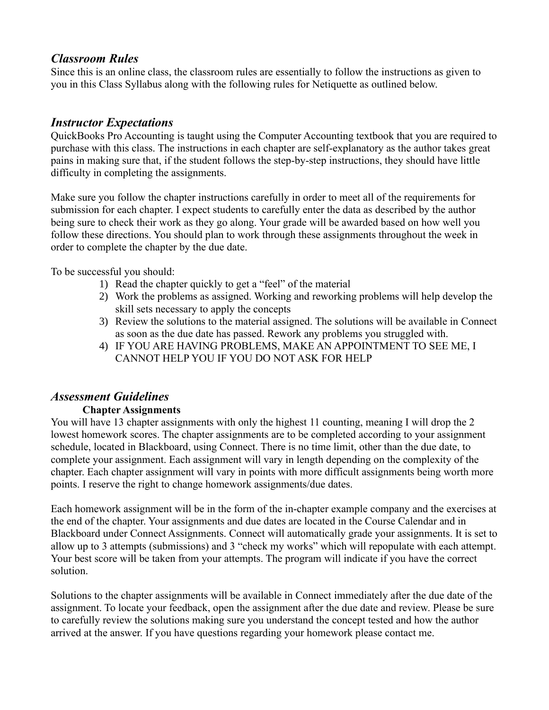# *Classroom Rules*

Since this is an online class, the classroom rules are essentially to follow the instructions as given to you in this Class Syllabus along with the following rules for Netiquette as outlined below.

# *Instructor Expectations*

QuickBooks Pro Accounting is taught using the Computer Accounting textbook that you are required to purchase with this class. The instructions in each chapter are self-explanatory as the author takes great pains in making sure that, if the student follows the step-by-step instructions, they should have little difficulty in completing the assignments.

Make sure you follow the chapter instructions carefully in order to meet all of the requirements for submission for each chapter. I expect students to carefully enter the data as described by the author being sure to check their work as they go along. Your grade will be awarded based on how well you follow these directions. You should plan to work through these assignments throughout the week in order to complete the chapter by the due date.

To be successful you should:

- 1) Read the chapter quickly to get a "feel" of the material
- 2) Work the problems as assigned. Working and reworking problems will help develop the skill sets necessary to apply the concepts
- 3) Review the solutions to the material assigned. The solutions will be available in Connect as soon as the due date has passed. Rework any problems you struggled with.
- 4) IF YOU ARE HAVING PROBLEMS, MAKE AN APPOINTMENT TO SEE ME, I CANNOT HELP YOU IF YOU DO NOT ASK FOR HELP

# *Assessment Guidelines*

### **Chapter Assignments**

You will have 13 chapter assignments with only the highest 11 counting, meaning I will drop the 2 lowest homework scores. The chapter assignments are to be completed according to your assignment schedule, located in Blackboard, using Connect. There is no time limit, other than the due date, to complete your assignment. Each assignment will vary in length depending on the complexity of the chapter. Each chapter assignment will vary in points with more difficult assignments being worth more points. I reserve the right to change homework assignments/due dates.

Each homework assignment will be in the form of the in-chapter example company and the exercises at the end of the chapter. Your assignments and due dates are located in the Course Calendar and in Blackboard under Connect Assignments. Connect will automatically grade your assignments. It is set to allow up to 3 attempts (submissions) and 3 "check my works" which will repopulate with each attempt. Your best score will be taken from your attempts. The program will indicate if you have the correct solution.

Solutions to the chapter assignments will be available in Connect immediately after the due date of the assignment. To locate your feedback, open the assignment after the due date and review. Please be sure to carefully review the solutions making sure you understand the concept tested and how the author arrived at the answer. If you have questions regarding your homework please contact me.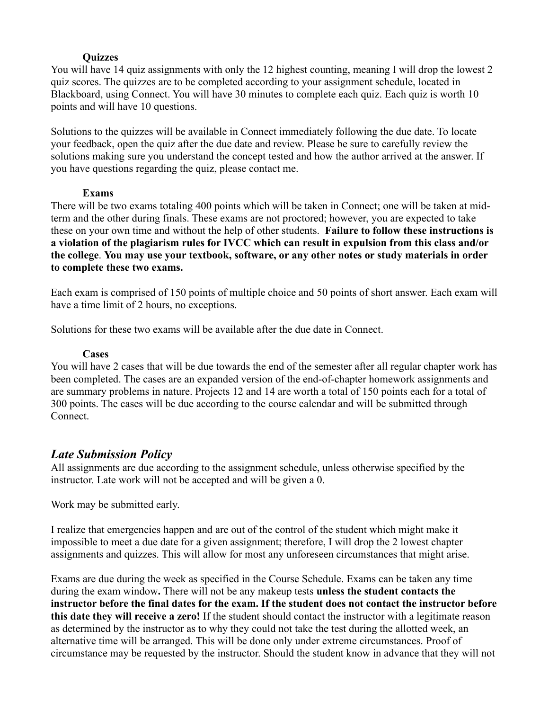#### **Quizzes**

You will have 14 quiz assignments with only the 12 highest counting, meaning I will drop the lowest 2 quiz scores. The quizzes are to be completed according to your assignment schedule, located in Blackboard, using Connect. You will have 30 minutes to complete each quiz. Each quiz is worth 10 points and will have 10 questions.

Solutions to the quizzes will be available in Connect immediately following the due date. To locate your feedback, open the quiz after the due date and review. Please be sure to carefully review the solutions making sure you understand the concept tested and how the author arrived at the answer. If you have questions regarding the quiz, please contact me.

#### **Exams**

There will be two exams totaling 400 points which will be taken in Connect; one will be taken at midterm and the other during finals. These exams are not proctored; however, you are expected to take these on your own time and without the help of other students. **Failure to follow these instructions is a violation of the plagiarism rules for IVCC which can result in expulsion from this class and/or the college**. **You may use your textbook, software, or any other notes or study materials in order to complete these two exams.**

Each exam is comprised of 150 points of multiple choice and 50 points of short answer. Each exam will have a time limit of 2 hours, no exceptions.

Solutions for these two exams will be available after the due date in Connect.

#### **Cases**

You will have 2 cases that will be due towards the end of the semester after all regular chapter work has been completed. The cases are an expanded version of the end-of-chapter homework assignments and are summary problems in nature. Projects 12 and 14 are worth a total of 150 points each for a total of 300 points. The cases will be due according to the course calendar and will be submitted through Connect.

# *Late Submission Policy*

All assignments are due according to the assignment schedule, unless otherwise specified by the instructor. Late work will not be accepted and will be given a 0.

Work may be submitted early.

I realize that emergencies happen and are out of the control of the student which might make it impossible to meet a due date for a given assignment; therefore, I will drop the 2 lowest chapter assignments and quizzes. This will allow for most any unforeseen circumstances that might arise.

Exams are due during the week as specified in the Course Schedule. Exams can be taken any time during the exam window**.** There will not be any makeup tests **unless the student contacts the instructor before the final dates for the exam. If the student does not contact the instructor before this date they will receive a zero!** If the student should contact the instructor with a legitimate reason as determined by the instructor as to why they could not take the test during the allotted week, an alternative time will be arranged. This will be done only under extreme circumstances. Proof of circumstance may be requested by the instructor. Should the student know in advance that they will not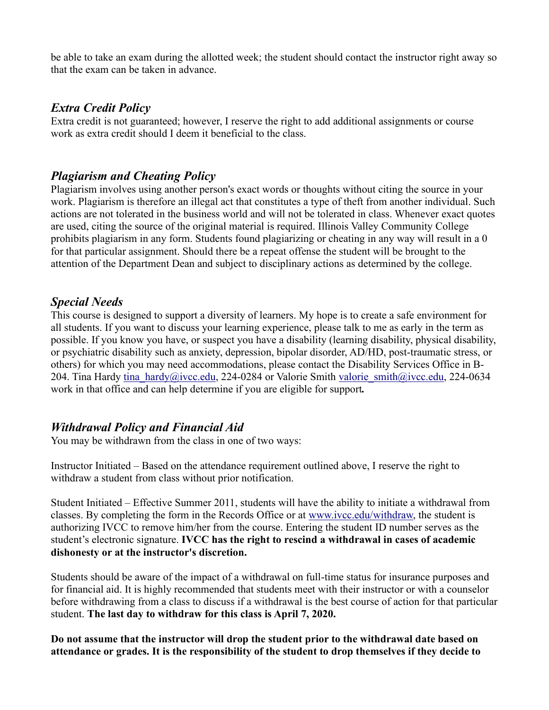be able to take an exam during the allotted week; the student should contact the instructor right away so that the exam can be taken in advance.

# *Extra Credit Policy*

Extra credit is not guaranteed; however, I reserve the right to add additional assignments or course work as extra credit should I deem it beneficial to the class.

# *Plagiarism and Cheating Policy*

Plagiarism involves using another person's exact words or thoughts without citing the source in your work. Plagiarism is therefore an illegal act that constitutes a type of theft from another individual. Such actions are not tolerated in the business world and will not be tolerated in class. Whenever exact quotes are used, citing the source of the original material is required. Illinois Valley Community College prohibits plagiarism in any form. Students found plagiarizing or cheating in any way will result in a 0 for that particular assignment. Should there be a repeat offense the student will be brought to the attention of the Department Dean and subject to disciplinary actions as determined by the college.

# *Special Needs*

This course is designed to support a diversity of learners. My hope is to create a safe environment for all students. If you want to discuss your learning experience, please talk to me as early in the term as possible. If you know you have, or suspect you have a disability (learning disability, physical disability, or psychiatric disability such as anxiety, depression, bipolar disorder, AD/HD, post-traumatic stress, or others) for which you may need accommodations, please contact the Disability Services Office in B-204. Tina Hardy [tina\\_hardy@ivcc.edu,](mailto:tina_hardy@ivcc.edu) 224-0284 or Valorie Smith [valorie\\_smith@ivcc.edu,](mailto:valorie_smith@ivcc.edu) 224-0634 work in that office and can help determine if you are eligible for support*.*

# *Withdrawal Policy and Financial Aid*

You may be withdrawn from the class in one of two ways:

Instructor Initiated – Based on the attendance requirement outlined above, I reserve the right to withdraw a student from class without prior notification.

Student Initiated – Effective Summer 2011, students will have the ability to initiate a withdrawal from classes. By completing the form in the Records Office or at [www.ivcc.edu/withdraw,](http://www.ivcc.edu/withdraw) the student is authorizing IVCC to remove him/her from the course. Entering the student ID number serves as the student's electronic signature. **IVCC has the right to rescind a withdrawal in cases of academic dishonesty or at the instructor's discretion.**

Students should be aware of the impact of a withdrawal on full-time status for insurance purposes and for financial aid. It is highly recommended that students meet with their instructor or with a counselor before withdrawing from a class to discuss if a withdrawal is the best course of action for that particular student. **The last day to withdraw for this class is April 7, 2020.** 

**Do not assume that the instructor will drop the student prior to the withdrawal date based on attendance or grades. It is the responsibility of the student to drop themselves if they decide to**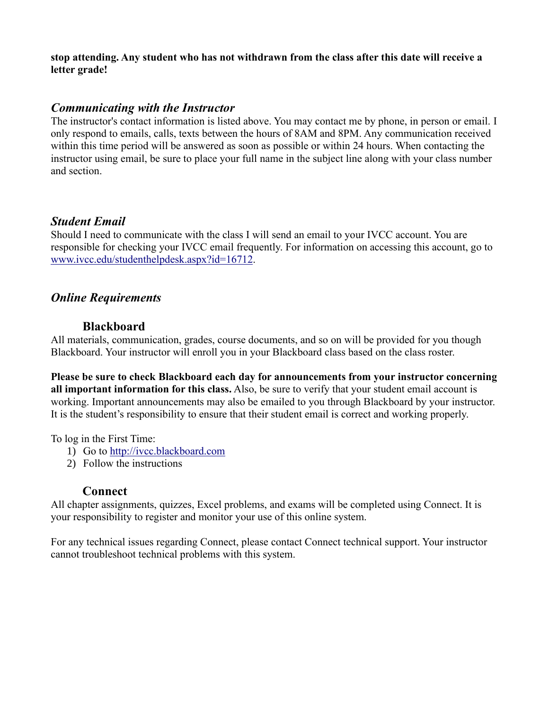**stop attending. Any student who has not withdrawn from the class after this date will receive a letter grade!**

### *Communicating with the Instructor*

The instructor's contact information is listed above. You may contact me by phone, in person or email. I only respond to emails, calls, texts between the hours of 8AM and 8PM. Any communication received within this time period will be answered as soon as possible or within 24 hours. When contacting the instructor using email, be sure to place your full name in the subject line along with your class number and section.

### *Student Email*

Should I need to communicate with the class I will send an email to your IVCC account. You are responsible for checking your IVCC email frequently. For information on accessing this account, go to [www.ivcc.edu/studenthelpdesk.aspx?id=16712.](http://www.ivcc.edu/studenthelpdesk.aspx?id=16712)

# *Online Requirements*

### **Blackboard**

All materials, communication, grades, course documents, and so on will be provided for you though Blackboard. Your instructor will enroll you in your Blackboard class based on the class roster.

**Please be sure to check Blackboard each day for announcements from your instructor concerning all important information for this class.** Also, be sure to verify that your student email account is working. Important announcements may also be emailed to you through Blackboard by your instructor. It is the student's responsibility to ensure that their student email is correct and working properly.

To log in the First Time:

- 1) Go to [http://ivcc.blackboard.com](http://ivcc.blackboard.com/)
- 2) Follow the instructions

### **Connect**

All chapter assignments, quizzes, Excel problems, and exams will be completed using Connect. It is your responsibility to register and monitor your use of this online system.

For any technical issues regarding Connect, please contact Connect technical support. Your instructor cannot troubleshoot technical problems with this system.